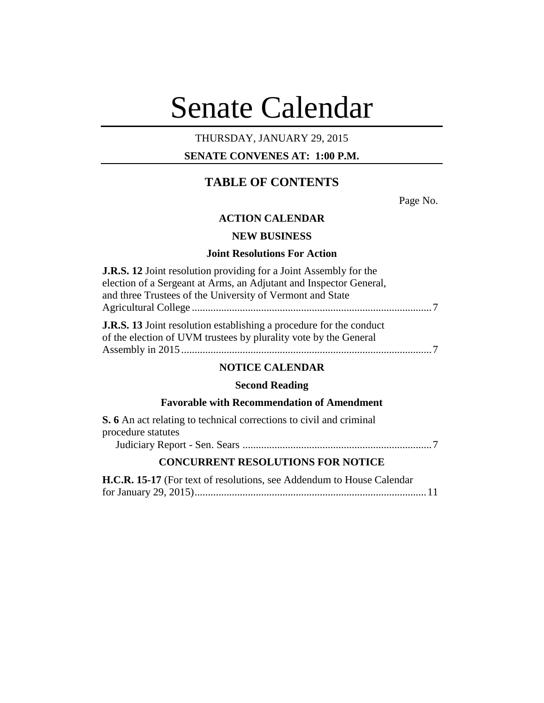# Senate Calendar

# THURSDAY, JANUARY 29, 2015

# **SENATE CONVENES AT: 1:00 P.M.**

# **TABLE OF CONTENTS**

Page No.

# **ACTION CALENDAR**

# **NEW BUSINESS**

# **Joint Resolutions For Action**

| <b>J.R.S. 12</b> Joint resolution providing for a Joint Assembly for the                                                                       |  |
|------------------------------------------------------------------------------------------------------------------------------------------------|--|
| election of a Sergeant at Arms, an Adjutant and Inspector General,                                                                             |  |
| and three Trustees of the University of Vermont and State                                                                                      |  |
|                                                                                                                                                |  |
| <b>J.R.S. 13</b> Joint resolution establishing a procedure for the conduct<br>of the election of UVM trustees by plurality vote by the General |  |
|                                                                                                                                                |  |
| <b>NOTICE CALENDAR</b>                                                                                                                         |  |

# **Second Reading**

# **Favorable with Recommendation of Amendment**

| <b>S.</b> 6 An act relating to technical corrections to civil and criminal |
|----------------------------------------------------------------------------|
| procedure statutes                                                         |
|                                                                            |
|                                                                            |

## **CONCURRENT RESOLUTIONS FOR NOTICE**

| H.C.R. 15-17 (For text of resolutions, see Addendum to House Calendar |  |
|-----------------------------------------------------------------------|--|
|                                                                       |  |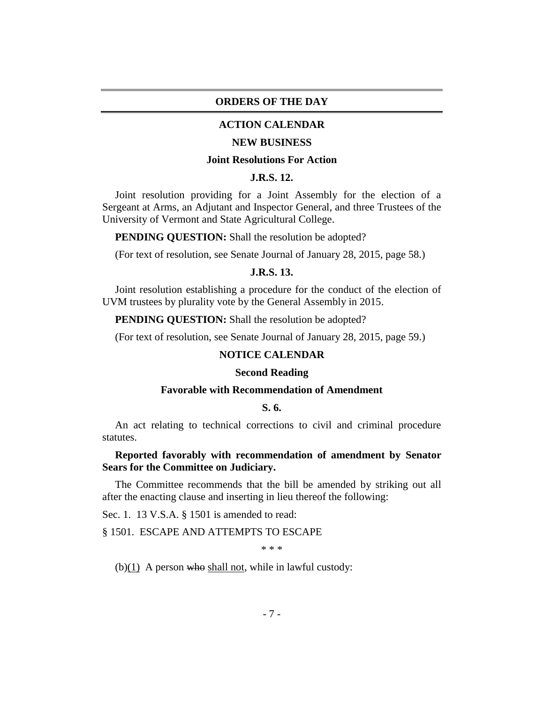#### **ORDERS OF THE DAY**

#### **ACTION CALENDAR**

#### **NEW BUSINESS**

#### **Joint Resolutions For Action**

# **J.R.S. 12.**

Joint resolution providing for a Joint Assembly for the election of a Sergeant at Arms, an Adjutant and Inspector General, and three Trustees of the University of Vermont and State Agricultural College.

**PENDING QUESTION:** Shall the resolution be adopted?

(For text of resolution, see Senate Journal of January 28, 2015, page 58.)

#### **J.R.S. 13.**

Joint resolution establishing a procedure for the conduct of the election of UVM trustees by plurality vote by the General Assembly in 2015.

**PENDING QUESTION:** Shall the resolution be adopted?

(For text of resolution, see Senate Journal of January 28, 2015, page 59.)

#### **NOTICE CALENDAR**

#### **Second Reading**

#### **Favorable with Recommendation of Amendment**

## **S. 6.**

An act relating to technical corrections to civil and criminal procedure statutes.

## **Reported favorably with recommendation of amendment by Senator Sears for the Committee on Judiciary.**

The Committee recommends that the bill be amended by striking out all after the enacting clause and inserting in lieu thereof the following:

Sec. 1. 13 V.S.A. § 1501 is amended to read:

§ 1501. ESCAPE AND ATTEMPTS TO ESCAPE

\* \* \*

(b) $(1)$  A person who shall not, while in lawful custody: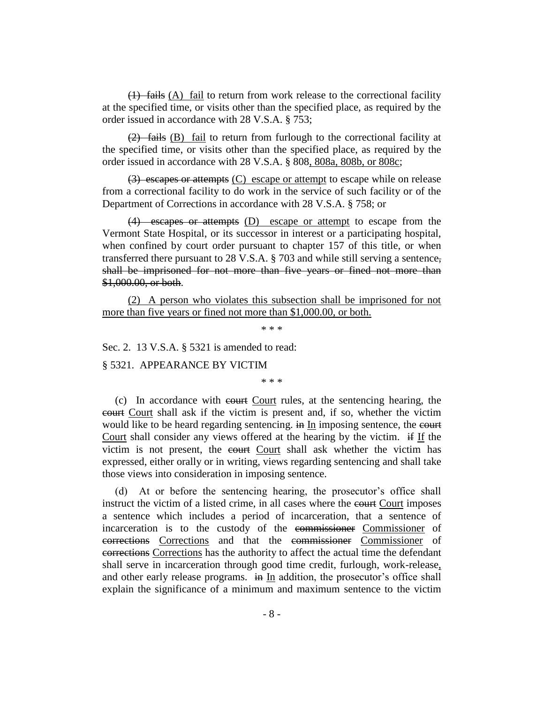(1) fails (A) fail to return from work release to the correctional facility at the specified time, or visits other than the specified place, as required by the order issued in accordance with 28 V.S.A. § 753;

(2) fails (B) fail to return from furlough to the correctional facility at the specified time, or visits other than the specified place, as required by the order issued in accordance with 28 V.S.A. § 808, 808a, 808b, or 808c;

(3) escapes or attempts (C) escape or attempt to escape while on release from a correctional facility to do work in the service of such facility or of the Department of Corrections in accordance with 28 V.S.A. § 758; or

(4) escapes or attempts (D) escape or attempt to escape from the Vermont State Hospital, or its successor in interest or a participating hospital, when confined by court order pursuant to chapter 157 of this title, or when transferred there pursuant to 28 V.S.A. § 703 and while still serving a sentence, shall be imprisoned for not more than five years or fined not more than \$1,000.00, or both.

(2) A person who violates this subsection shall be imprisoned for not more than five years or fined not more than \$1,000.00, or both.

\* \* \*

Sec. 2. 13 V.S.A. § 5321 is amended to read:

§ 5321. APPEARANCE BY VICTIM

\* \* \*

(c) In accordance with court Court rules, at the sentencing hearing, the court Court shall ask if the victim is present and, if so, whether the victim would like to be heard regarding sentencing. in In imposing sentence, the court Court shall consider any views offered at the hearing by the victim. if If the victim is not present, the court Court shall ask whether the victim has expressed, either orally or in writing, views regarding sentencing and shall take those views into consideration in imposing sentence.

(d) At or before the sentencing hearing, the prosecutor's office shall instruct the victim of a listed crime, in all cases where the court Court imposes a sentence which includes a period of incarceration, that a sentence of incarceration is to the custody of the commissioner Commissioner of corrections Corrections and that the commissioner Commissioner of corrections Corrections has the authority to affect the actual time the defendant shall serve in incarceration through good time credit, furlough, work-release, and other early release programs. in In addition, the prosecutor's office shall explain the significance of a minimum and maximum sentence to the victim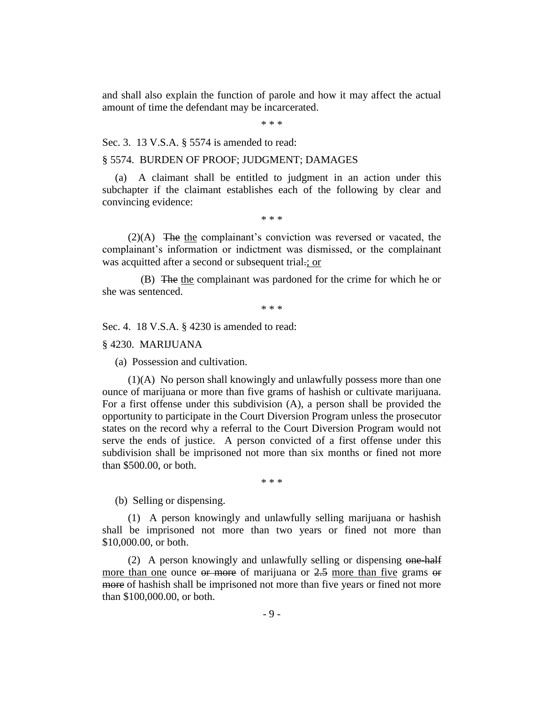and shall also explain the function of parole and how it may affect the actual amount of time the defendant may be incarcerated.

\* \* \*

Sec. 3. 13 V.S.A. § 5574 is amended to read:

#### § 5574. BURDEN OF PROOF; JUDGMENT; DAMAGES

(a) A claimant shall be entitled to judgment in an action under this subchapter if the claimant establishes each of the following by clear and convincing evidence:

\* \* \*

(2)(A) The the complainant's conviction was reversed or vacated, the complainant's information or indictment was dismissed, or the complainant was acquitted after a second or subsequent trial.; or

(B) The the complainant was pardoned for the crime for which he or she was sentenced.

\* \* \*

Sec. 4. 18 V.S.A. § 4230 is amended to read:

§ 4230. MARIJUANA

(a) Possession and cultivation.

(1)(A) No person shall knowingly and unlawfully possess more than one ounce of marijuana or more than five grams of hashish or cultivate marijuana. For a first offense under this subdivision (A), a person shall be provided the opportunity to participate in the Court Diversion Program unless the prosecutor states on the record why a referral to the Court Diversion Program would not serve the ends of justice. A person convicted of a first offense under this subdivision shall be imprisoned not more than six months or fined not more than \$500.00, or both.

\* \* \*

(b) Selling or dispensing.

(1) A person knowingly and unlawfully selling marijuana or hashish shall be imprisoned not more than two years or fined not more than \$10,000.00, or both.

(2) A person knowingly and unlawfully selling or dispensing  $\Theta$  and  $\Theta$ more than one ounce or more of marijuana or 2.5 more than five grams or more of hashish shall be imprisoned not more than five years or fined not more than \$100,000.00, or both.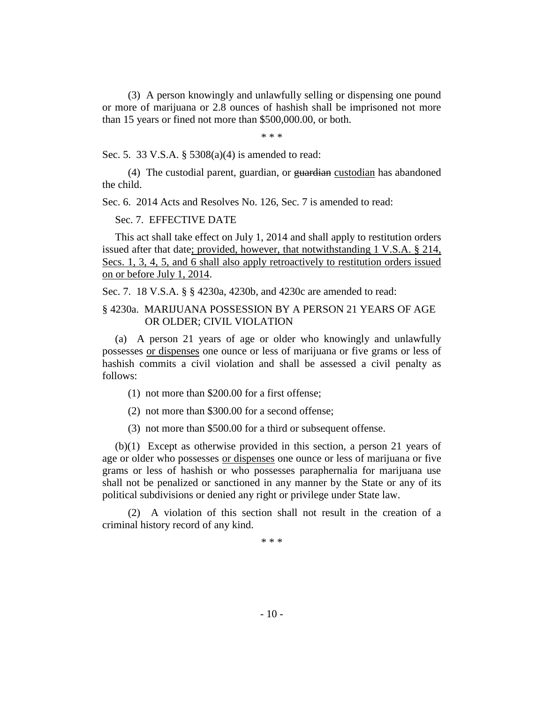(3) A person knowingly and unlawfully selling or dispensing one pound or more of marijuana or 2.8 ounces of hashish shall be imprisoned not more than 15 years or fined not more than \$500,000.00, or both.

\* \* \*

Sec. 5. 33 V.S.A. § 5308(a)(4) is amended to read:

(4) The custodial parent, guardian, or guardian custodian has abandoned the child.

Sec. 6. 2014 Acts and Resolves No. 126, Sec. 7 is amended to read:

Sec. 7. EFFECTIVE DATE

This act shall take effect on July 1, 2014 and shall apply to restitution orders issued after that date; provided, however, that notwithstanding 1 V.S.A. § 214, Secs. 1, 3, 4, 5, and 6 shall also apply retroactively to restitution orders issued on or before July 1, 2014.

Sec. 7. 18 V.S.A. § § 4230a, 4230b, and 4230c are amended to read:

#### § 4230a. MARIJUANA POSSESSION BY A PERSON 21 YEARS OF AGE OR OLDER; CIVIL VIOLATION

(a) A person 21 years of age or older who knowingly and unlawfully possesses or dispenses one ounce or less of marijuana or five grams or less of hashish commits a civil violation and shall be assessed a civil penalty as follows:

(1) not more than \$200.00 for a first offense;

(2) not more than \$300.00 for a second offense;

(3) not more than \$500.00 for a third or subsequent offense.

(b)(1) Except as otherwise provided in this section, a person 21 years of age or older who possesses or dispenses one ounce or less of marijuana or five grams or less of hashish or who possesses paraphernalia for marijuana use shall not be penalized or sanctioned in any manner by the State or any of its political subdivisions or denied any right or privilege under State law.

(2) A violation of this section shall not result in the creation of a criminal history record of any kind.

\* \* \*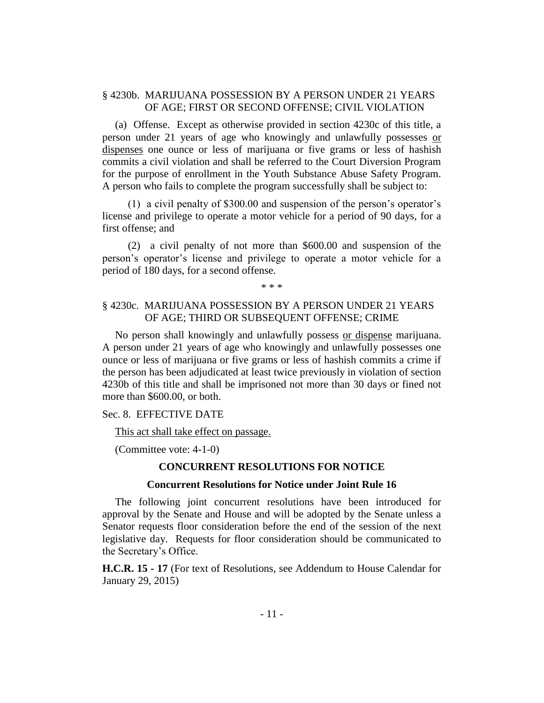#### § 4230b. MARIJUANA POSSESSION BY A PERSON UNDER 21 YEARS OF AGE; FIRST OR SECOND OFFENSE; CIVIL VIOLATION

(a) Offense. Except as otherwise provided in section 4230c of this title, a person under 21 years of age who knowingly and unlawfully possesses or dispenses one ounce or less of marijuana or five grams or less of hashish commits a civil violation and shall be referred to the Court Diversion Program for the purpose of enrollment in the Youth Substance Abuse Safety Program. A person who fails to complete the program successfully shall be subject to:

(1) a civil penalty of \$300.00 and suspension of the person's operator's license and privilege to operate a motor vehicle for a period of 90 days, for a first offense; and

(2) a civil penalty of not more than \$600.00 and suspension of the person's operator's license and privilege to operate a motor vehicle for a period of 180 days, for a second offense.

\* \* \*

#### § 4230c. MARIJUANA POSSESSION BY A PERSON UNDER 21 YEARS OF AGE; THIRD OR SUBSEQUENT OFFENSE; CRIME

No person shall knowingly and unlawfully possess or dispense marijuana. A person under 21 years of age who knowingly and unlawfully possesses one ounce or less of marijuana or five grams or less of hashish commits a crime if the person has been adjudicated at least twice previously in violation of section 4230b of this title and shall be imprisoned not more than 30 days or fined not more than \$600.00, or both.

#### Sec. 8. EFFECTIVE DATE

This act shall take effect on passage.

(Committee vote: 4-1-0)

#### **CONCURRENT RESOLUTIONS FOR NOTICE**

#### **Concurrent Resolutions for Notice under Joint Rule 16**

The following joint concurrent resolutions have been introduced for approval by the Senate and House and will be adopted by the Senate unless a Senator requests floor consideration before the end of the session of the next legislative day. Requests for floor consideration should be communicated to the Secretary's Office.

**H.C.R. 15 - 17** (For text of Resolutions, see Addendum to House Calendar for January 29, 2015)